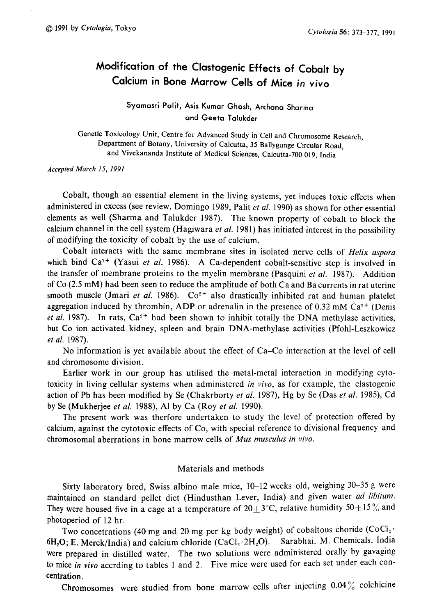# Modification of the Clastogenic Effects of Cobalt by Calcium in Bone Marrow Cells of Mice in vivo

## Syamasri Palit, Asis Kumar Ghosh , Archana Sharma and Geeta Talukder

Genetic Toxicology Unit, Centre for Advanced Study in Cell and Chromosome Research, epartment of Botany, University of Calcutta, 35 Ballygunge Circular Road , and Vivekananda Institute of Medical Sciences, Calcutta-700 019, Indi

Accepted March 15, 1991

Cobalt, though an essential element in the living systems, yet induces toxic effects when administered in excess (see review, Domingo 1989, Palit et al. 1990) as shown for other essential elements as well (Sharma and Talukder 1987). The known property of cobalt to block the calcium channel in the cell system (Hagiwara et al. 1981) has initiated interest in the possibility of modifying the toxicity of cobalt by the use of calcium.

Cobalt interacts with the same membrane sites in isolated nerve cells of Helix aspora which bind  $Ca^{2+}$  (Yasui et al. 1986). A Ca-dependent cobalt-sensitive step is involved in the transfer of membrane proteins to the myelin membrane (Pasquini et al. 1987). Addition of Co (2.5mM) had been seen to reduce the amplitude of both Ca and Ba currents in rat uterine smooth muscle (Jmari et al. 1986).  $Co^{2+}$  also drastically inhibited rat and human platelet aggregation induced by thrombin, ADP or adrenalin in the presence of  $0.32 \text{ mM Ca}^{2+}$  (Denis et al. 1987). In rats,  $Ca^{2+}$  had been shown to inhibit totally the DNA methylase activities, but Co ion activated kidney, spleen and brain DNA-methylase activities (Pfohl-Leszkowicz et al. 1987).

No information is yet available about the effect of Ca-Co interaction at the level of cell and chromosome division.

Earlier work in our group has utilised the metal-metal interaction in modifying cyto toxicity in living cellular systems when administered in vivo, as for example, the clastogenic action of Pb has been modified by Se (Chakrborty *et al.* 1987), Hg by Se (Das *et al.* 1985), Cd by Se (Mukherjee et al. 1988), Al by Ca (Roy et al. 1990).

The present work was therfore undertaken to study the level of protection offered by calcium, against the cytotoxic effects of Co, with special reference to divisional frequency and chromosomal aberrations in bone marrow cells of Mus musculus in vivo.

## Materials and methods

Sixty laboratory bred, Swiss albino male mice, 10-12 weeks old, weighing 30-35g were maintained on standard pellet diet (Hindusthan Lever, India) and given water ad libitum. They were housed five in a cage at a temperature of  $20\pm3^{\circ}$ C, relative humidity  $50\pm15\%$  and photoperiod of 12hr.

Two concetrations (40 mg and 20 mg per kg body weight) of cobaltous choride  $(CoCl<sub>2</sub>·)$ 6H<sub>2</sub>O; E. Merck/India) and calcium chloride  $(CaCl<sub>2</sub>·2H<sub>2</sub>O)$ . Sarabhai. M. Chemicals, India were prepared in distilled water. The two solutions were administered orally by gavaging to mice in vivo accrding to tables 1 and 2. Five mice were used for each set under each concentration.

Chromosomes were studied from bone marrow cells after injecting 0.04% colchicine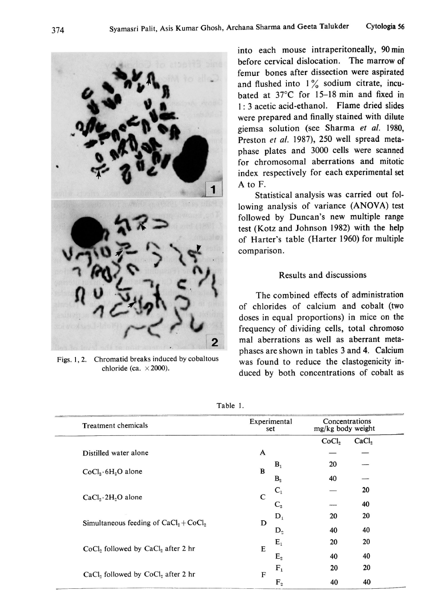

Figs. 1, 2. Chromatid breaks induced by cobaltous chloride (ca.  $\times$  2000).

into each mouse intraperitoneally, 90min before cervical dislocation. The marrow of femur bones after dissection were aspirated and flushed into  $1\%$  sodium citrate, incubated at 37°C for 15-18 min and fixed in 1:3 acetic acid-ethanol. Flame dried slides were prepared and finally stained with dilute giemsa solution (see Sharma et al. 1980, Preston et al. 1987), 250 well spread metaphase plates and 3000 cells were scanned for chromosomal aberrations and mitotic index respectively for each experimental set A to F.

Statistical analysis was carried out fol lowing analysis of variance (ANOVA) test followed by Duncan's new multiple range test (Kotz and Johnson 1982) with the help of Harter's table (Harter 1960) for multiple comparison.

## Results and discussions

The combined effects of administration of chlorides of calcium and cobalt (two doses in equal proportions) in mice on the frequency of dividing cells, total chromoso mal aberrations as well as aberrant meta phases are shown in tables 3 and 4. Calcium was found to reduce the clastogenicity in duced by both concentrations of cobalt as

| <b>Treatment chemicals</b>              | Experimental<br>set |                | Concentrations<br>mg/kg body weight |                   |
|-----------------------------------------|---------------------|----------------|-------------------------------------|-------------------|
|                                         |                     |                | CoCl <sub>2</sub>                   | CaCl <sub>2</sub> |
| Distilled water alone                   | A                   |                |                                     |                   |
|                                         | $\bf{B}$            | B <sub>1</sub> | 20                                  |                   |
| $CoCl2·6H2O$ alone                      |                     | $B_{2}$        | 40                                  |                   |
|                                         |                     | $C_1$          |                                     | 20                |
| $CaCl9·2H9O$ alone                      | $\mathsf{C}$        | $C_{2}$        |                                     | 40                |
|                                         |                     | $D_1$          | 20                                  | 20                |
| Simultaneous feeding of $CaCl2 + CoCl2$ | D                   | $D_{\alpha}$   | 40                                  | 40                |
|                                         |                     | $\mathbf{E}_1$ | 20                                  | 20                |
| $CoCl2$ followed by $CaCl2$ after 2 hr  | E                   | $E_{2}$        | 40                                  | 40                |
|                                         |                     | $F_{1}$        | 20                                  | 20                |
| CaCl, followed by CoCl, after 2 hr      | $\mathbf{F}$        | $F_{2}$        | 40                                  | 40                |

Table 1.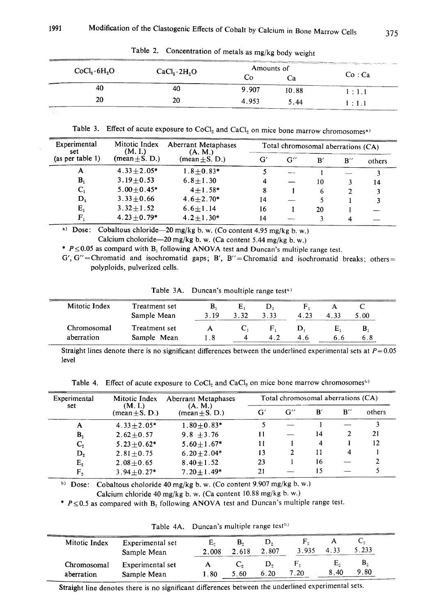| CoCl <sub>2</sub> ·6H <sub>2</sub> O | a a construction of the contract of the construction of the construction of the construction of the construction of the construction of the construction of the construction of the construction of the construction of the co | Amounts of |       | contract and the contract of the con- |  |
|--------------------------------------|--------------------------------------------------------------------------------------------------------------------------------------------------------------------------------------------------------------------------------|------------|-------|---------------------------------------|--|
|                                      | CaCl <sub>2</sub> ·2H <sub>2</sub> O                                                                                                                                                                                           | LΩ         | . a   | Co:Ca                                 |  |
| 40                                   | 40                                                                                                                                                                                                                             | 9.907      | 10.88 | 1:1.1                                 |  |
| 20                                   | 20                                                                                                                                                                                                                             | 4.953      | 5.44  | 1:1.1                                 |  |

Table 2. Concentration of metals as mg/kg body weight

Table 3. Effect of acute exposure to  $CoCl<sub>2</sub>$  and  $CaCl<sub>2</sub>$  on mice bone marrow chromosomes<sup>a)</sup>

| Experimental<br>set | Mitotic Index<br>(M. I.)             | Aberrant Metaphases<br>(A. M.)<br>(mean $\pm$ S, D,) | Total chromosomal aberrations (CA) |                    |    |                    |        |  |
|---------------------|--------------------------------------|------------------------------------------------------|------------------------------------|--------------------|----|--------------------|--------|--|
| (as per table 1)    | $(\text{mean} + \text{S}, \text{D})$ |                                                      | Gʻ                                 | $G^{\prime\prime}$ | B′ | $B^{\prime\prime}$ | others |  |
| А                   | $4.33 + 2.05*$                       | $1.8 + 0.83*$                                        |                                    |                    |    |                    |        |  |
| В,                  | $3.19 + 0.53$                        | $6.8 + 1.30$                                         | 4                                  |                    | 10 |                    | 14     |  |
| C,                  | $5.00 + 0.45*$                       | $4 + 1.58*$                                          | 8                                  |                    | 6  |                    |        |  |
| D,                  | $3.33 + 0.66$                        | $4.6 + 2.70*$                                        | 14                                 |                    |    |                    |        |  |
| $E_{1}$             | $3.32 \pm 1.52$                      | $6.6 + 1.14$                                         | 16                                 |                    | 20 |                    |        |  |
| F.                  | $4.23 + 0.79*$                       | $4.2 + 1.30*$                                        | 14                                 |                    |    |                    |        |  |

<sup>(i)</sup> Dose: Cobaltous chloride—20 mg/kg b, w. (Co content 4.95 mg/kg b, w. Calcium choloride- $20 \text{ mg/kg}$  b. w. (Ca content 5.44 mg/kg b. w.)

\*  $P \le 0.05$  as compard with B<sub>1</sub> following ANOVA test and Duncan's multiple range test.

 $G'$ ,  $G''$  = Chromatid and isochromatid gaps; B', B'' = Chromatid and isochromatid breaks; others = polyploids, pulverized cells.

| Table 3A. |  | Duncan's moultiple range test <sup>®</sup> |  |  |  |
|-----------|--|--------------------------------------------|--|--|--|
|-----------|--|--------------------------------------------|--|--|--|

| Mitotic Index | Treatment set | в.  | E,   |      |     |      |
|---------------|---------------|-----|------|------|-----|------|
|               | Sample Mean   | 319 | 3.32 | 3.33 | 433 | 5.00 |
| Chromosomal   | Treatment set |     |      |      |     | D    |
| aberration    | Sample Mean   |     |      |      |     |      |

Straight lines denote there is no significant differences between the underlined experimental sets at  $P=0.05$ level

Table 4. Effect of acute exposure to  $CoCl<sub>2</sub>$  and  $CaCl<sub>2</sub>$  on mice bone marrow chromosomes<sup>b)</sup>

| Experimental<br>Mitotic Index<br>(M, I)<br>set<br>$(\text{mean} \pm S, D.)$ |                               | Aberrant Metaphases | Total chromosomal aberrations (CA) |    |                    |        |    |  |
|-----------------------------------------------------------------------------|-------------------------------|---------------------|------------------------------------|----|--------------------|--------|----|--|
|                                                                             | (A. M.)<br>(mean $\pm$ S. D.) | G'                  | $G^{\prime\prime}$                 | Bʻ | $B^{\prime\prime}$ | others |    |  |
| A                                                                           | $4.33 + 2.05*$                | $1.80 + 0.83*$      |                                    |    |                    |        |    |  |
| B,                                                                          | $2.62 + 0.57$                 | $9.8 + 3.76$        | 11                                 |    | 14                 |        | 21 |  |
| $\mathbf{C}_2$                                                              | $5.23 + 0.62*$                | $5.60 + 1.67*$      | 11                                 |    | 4                  |        | 12 |  |
| D,                                                                          | $2.81 \pm 0.75$               | $6.20 + 2.04*$      | 13                                 | 2  | 11                 | 4      |    |  |
| $E_{2}$                                                                     | $2.08 + 0.65$                 | $8.40 \pm 1.52$     | 23                                 |    | 16                 |        |    |  |
| F.                                                                          | $3.94 \pm 0.27*$              | $7.20 + 1.49*$      | 21                                 |    | 15                 |        |    |  |

b) Dose: Cobaltous choloride 40 mg/kg b. w. (Co content 9.907 mg/kg b. w.) Calcium chloride 40mg/kg b. w. (Ca content 10.88mg/kg b. w.)

\*  $P \le 0.5$  as compared with B<sub>2</sub> following ANOVA test and Duncan's multiple range test.

Table 4A. Duncan's multiple range test<sup>b)</sup>

| Mitotic Index             | Experimental set                | Е.    | $\mathbf{B}_{2}$ | D.         | r.         |            |            |  |
|---------------------------|---------------------------------|-------|------------------|------------|------------|------------|------------|--|
|                           | Sample Mean                     | 2.008 | 2.618            | 2.807      | 3.935      |            | 5.233      |  |
| Chromosomal<br>aberration | Experimental set<br>Sample Mean | l.80  | $C_{2}$<br>5.60  | D.<br>6.20 | Η,<br>7.20 | Ŀ.<br>8.40 | в.<br>9.80 |  |

Straight line denotes there is no significant differences between the underlined experimental sets.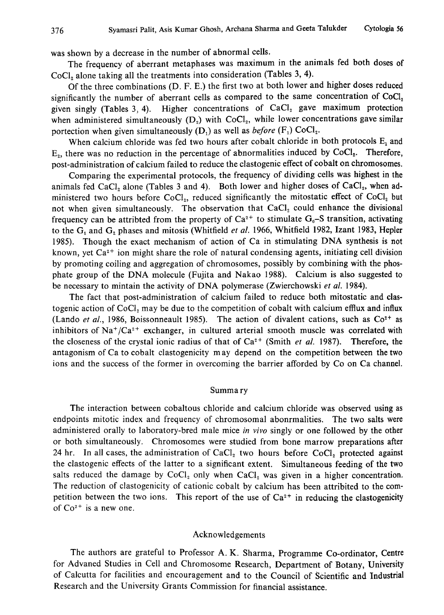was shown by a decrease in the number of abnormal cells.

The frequency of aberrant metaphases was maximum in the animals fed both doses of CoCl<sub>2</sub> alone taking all the treatments into consideration (Tables 3, 4).

Of the three combinations (D. F. E.) the first two at both lower and higher doses reduced significantly the number of aberrant cells as compared to the same concentration of CoCl, given singly (Tables 3, 4). Higher concentrations of  $CaCl<sub>2</sub>$  gave maximum protection when administered simultaneously  $(D_2)$  with CoCl<sub>2</sub>, while lower concentrations gave similar portection when given simultaneously  $(D_1)$  as well as *before*  $(F_1)$  CoCl<sub>2</sub>.

When calcium chloride was fed two hours after cobalt chloride in both protocols  $E_1$  and  $E<sub>2</sub>$ , there was no reduction in the percentage of abnormalities induced by CoCl<sub>2</sub>. Therefore, post-administration of calcium failed to reduce the clastogenic effect of cobalt on chromosomes.

Comparing the experimental protocols, the frequency of dividing cells was highest in the animals fed CaCl<sub>2</sub> alone (Tables 3 and 4). Both lower and higher doses of CaCl<sub>2</sub>, when administered two hours before  $CoCl<sub>2</sub>$ , reduced significantly the mitostatic effect of  $CoCl<sub>2</sub>$  but not when given simultaneously. The observation that  $CaCl<sub>2</sub>$  could enhance the divisional frequency can be attribted from the property of  $Ca^{2+}$  to stimulate  $G_0$ -S transition, activating to the  $G_1$  and  $G_2$  phases and mitosis (Whitfield *et al.* 1966, Whitfield 1982, Izant 1983, Hepler 1985). Though the exact mechanism of action of Ca in stimulating DNA synthesis is not known, yet  $Ca^{2+}$  ion might share the role of natural condensing agents, initiating cell division by promoting coiling and aggregation of chromosomes, possibly by combining with the phos phate group of the DNA molecule (Fujita and Nakao 1988). Calcium is also suggested to be necessary to mintain the activity of DNA polymerase (Zwierchowski et al. 1984).

The fact that post-administration of calcium failed to reduce both mitostatic and clas togenic action of  $CoCl<sub>2</sub>$  may be due to the competition of cobalt with calcium efflux and influx (Lando et al., 1986, Boissonneault 1985). The action of divalent cations, such as  $\text{Co}^{2+}$  as inhibitors of  $Na^+/Ca^{2+}$  exchanger, in cultured arterial smooth muscle was correlated with the closeness of the crystal ionic radius of that of  $Ca^{2+}$  (Smith *et al.* 1987). Therefore, the antagonism of Ca to cobalt clastogenicity may depend on the competition between the two ions and the success of the former in overcoming the barrier afforded by Co on Ca channel.

#### Summary

The interaction between cobaltous chloride and calcium chloride was observed using as endpoints mitotic index and frequency of chromosomal abonrmalities. The two salts were administered orally to laboratory-bred male mice in vivo singly or one followed by the other or both simultaneously. Chromosomes were studied from bone marrow preparations after 24 hr. In all cases, the administration of  $CaCl<sub>2</sub>$  two hours before  $CoCl<sub>2</sub>$  protected against the clastogenic effects of the latter to a significant extent. Simultaneous feeding of the two salts reduced the damage by  $CoCl<sub>2</sub>$  only when  $CaCl<sub>2</sub>$  was given in a higher concentration. The reduction of clastogenicity of cationic cobalt by calcium has been attribited to the com petition between the two ions. This report of the use of  $Ca<sup>2+</sup>$  in reducing the clastogenicity of  $Co<sup>2+</sup>$  is a new one.

#### Acknowledgements

The authors are grateful to Professor A. K. Sharma, Programme Co-ordinator, Centre for Advaned Studies in Cell and Chromosome Research, Department of Botany, University of Calcutta for facilities and encouragement and to the Council of Scientific and Industrial Research and the University Grants Commission for financial assistance.